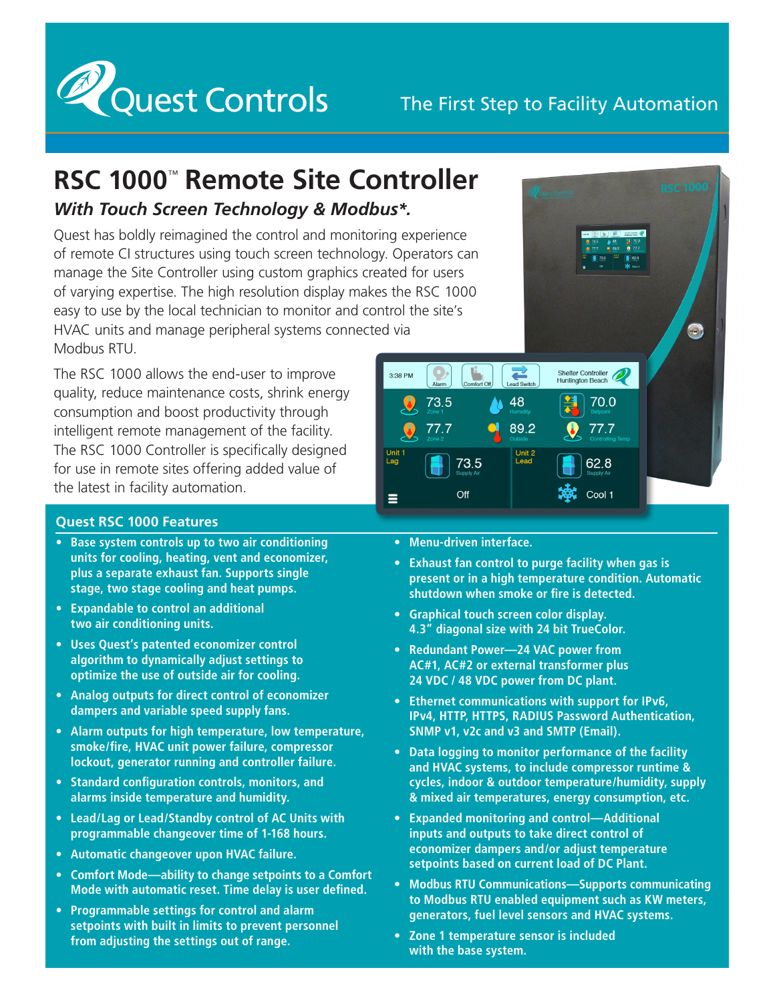

## The First Step to Facility Automation

## **RSC 1000**™ **Remote Site Controller** *With Touch Screen Technology & Modbus\*.*

Quest has boldly reimagined the control and monitoring experience of remote CI structures using touch screen technology. Operators can manage the Site Controller using custom graphics created for users of varying expertise. The high resolution display makes the RSC 1000 easy to use by the local technician to monitor and control the site's HVAC units and manage peripheral systems connected via Modbus RTU.

The RSC 1000 allows the end-user to improve quality, reduce maintenance costs, shrink energy consumption and boost productivity through intelligent remote management of the facility. The RSC 1000 Controller is specifically designed for use in remote sites offering added value of the latest in facility automation.

## **Quest RSC 1000 Features**

- **• Base system controls up to two air conditioning units for cooling, heating, vent and economizer, plus a separate exhaust fan. Supports single stage, two stage cooling and heat pumps.**
- **• Expandable to control an additional two air conditioning units.**
- **• Uses Quest's patented economizer control algorithm to dynamically adjust settings to optimize the use of outside air for cooling.**
- **• Analog outputs for direct control of economizer dampers and variable speed supply fans.**
- **• Alarm outputs for high temperature, low temperature, smoke/fire, HVAC unit power failure, compressor lockout, generator running and controller failure.**
- **• Standard configuration controls, monitors, and alarms inside temperature and humidity.**
- **• Lead/Lag or Lead/Standby control of AC Units with programmable changeover time of 1‑168 hours.**
- **• Automatic changeover upon HVAC failure.**
- **• Comfort Mode—ability to change setpoints to a Comfort Mode with automatic reset. Time delay is user defined.**
- **• Programmable settings for control and alarm setpoints with built in limits to prevent personnel from adjusting the settings out of range.**



- **• Menu-driven interface.**
- **• Exhaust fan control to purge facility when gas is present or in a high temperature condition. Automatic shutdown when smoke or fire is detected.**
- **• Graphical touch screen color display. 4.3" diagonal size with 24 bit TrueColor.**
- **• Redundant Power—24 VAC power from AC#1, AC#2 or external transformer plus 24 VDC / 48 VDC power from DC plant.**
- **• Ethernet communications with support for IPv6, IPv4, HTTP, HTTPS, RADIUS Password Authentication, SNMP v1, v2c and v3 and SMTP (Email).**
- **• Data logging to monitor performance of the facility and HVAC systems, to include compressor runtime & cycles, indoor & outdoor temperature/humidity, supply & mixed air temperatures, energy consumption, etc.**
- **• Expanded monitoring and control—Additional inputs and outputs to take direct control of economizer dampers and/or adjust temperature setpoints based on current load of DC Plant.**
- **• Modbus RTU Communications—Supports communicating to Modbus RTU enabled equipment such as KW meters, generators, fuel level sensors and HVAC systems.**
- **• Zone 1 temperature sensor is included with the base system.**